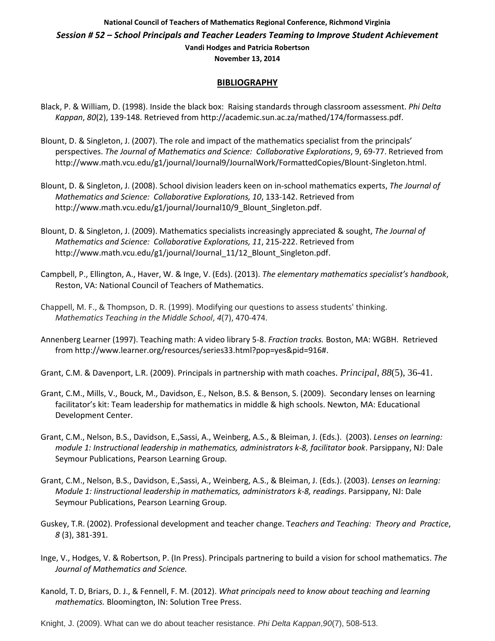## **National Council of Teachers of Mathematics Regional Conference, Richmond Virginia** *Session # 52 – School Principals and Teacher Leaders Teaming to Improve Student Achievement* **Vandi Hodges and Patricia Robertson**

**November 13, 2014**

### **BIBLIOGRAPHY**

- Black, P. & William, D. (1998). Inside the black box: Raising standards through classroom assessment. *Phi Delta Kappan*, *80*(2), 139-148. Retrieved from http://academic.sun.ac.za/mathed/174/formassess.pdf.
- Blount, D. & Singleton, J. (2007). The role and impact of the mathematics specialist from the principals' perspectives. *The Journal of Mathematics and Science: Collaborative Explorations*, 9, 69-77. Retrieved from http://www.math.vcu.edu/g1/journal/Journal9/JournalWork/FormattedCopies/Blount-Singleton.html.
- Blount, D. & Singleton, J. (2008). School division leaders keen on in-school mathematics experts, *The Journal of Mathematics and Science: Collaborative Explorations, 10*, 133-142. Retrieved from http://www.math.vcu.edu/g1/journal/Journal10/9\_Blount\_Singleton.pdf.
- Blount, D. & Singleton, J. (2009). Mathematics specialists increasingly appreciated & sought, *The Journal of Mathematics and Science: Collaborative Explorations, 11*, 215-222. Retrieved from http://www.math.vcu.edu/g1/journal/Journal\_11/12\_Blount\_Singleton.pdf.
- Campbell, P., Ellington, A., Haver, W. & Inge, V. (Eds). (2013). *The elementary mathematics specialist's handbook*, Reston, VA: National Council of Teachers of Mathematics.
- Chappell, M. F., & Thompson, D. R. (1999). Modifying our questions to assess students' thinking. *Mathematics Teaching in the Middle School*, *4*(7), 470-474.
- Annenberg Learner (1997). Teaching math: A video library 5-8. *Fraction tracks.* Boston, MA: WGBH. Retrieved from http://www.learner.org/resources/series33.html?pop=yes&pid=916#.
- Grant, C.M. & Davenport, L.R. (2009). Principals in partnership with math coaches. *Principal*, *88*(5), 36-41.
- Grant, C.M., Mills, V., Bouck, M., Davidson, E., Nelson, B.S. & Benson, S. (2009). Secondary lenses on learning facilitator's kit: Team leadership for mathematics in middle & high schools. Newton, MA: Educational Development Center.
- Grant, C.M., Nelson, B.S., Davidson, E.,Sassi, A., Weinberg, A.S., & Bleiman, J. (Eds.). (2003). *Lenses on learning: module 1: Instructional leadership in mathematics, administrators k-8, facilitator book*. Parsippany, NJ: Dale Seymour Publications, Pearson Learning Group.
- Grant, C.M., Nelson, B.S., Davidson, E.,Sassi, A., Weinberg, A.S., & Bleiman, J. (Eds.). (2003). *Lenses on learning: Module 1: Iinstructional leadership in mathematics, administrators k-8, readings*. Parsippany, NJ: Dale Seymour Publications, Pearson Learning Group.
- Guskey, T.R. (2002). Professional development and teacher change. T*eachers and Teaching: Theory and Practice*, *8* (3), 381-391.
- Inge, V., Hodges, V. & Robertson, P. (In Press). Principals partnering to build a vision for school mathematics. *The Journal of Mathematics and Science.*
- Kanold, T. D, Briars, D. J., & Fennell, F. M. (2012). *What principals need to know about teaching and learning mathematics.* Bloomington, IN: Solution Tree Press.
- Knight, J. (2009). What can we do about teacher resistance. *Phi Delta Kappan*,*90*(7), 508-513.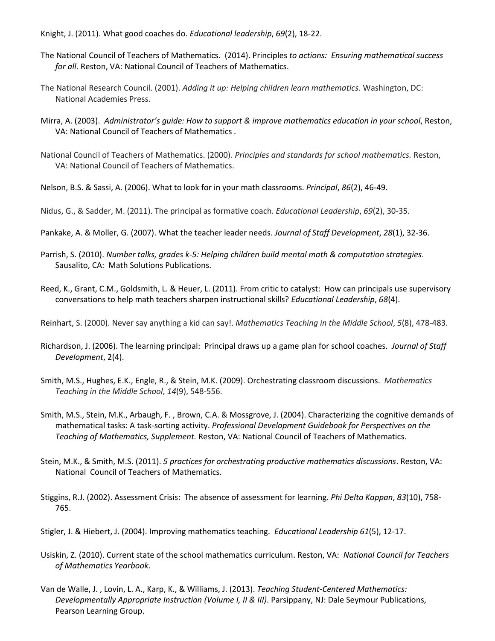Knight, J. (2011). What good coaches do. *Educational leadership*, *69*(2), 18-22.

- The National Council of Teachers of Mathematics. (2014). Principles *to actions: Ensuring mathematical success for all*. Reston, VA: National Council of Teachers of Mathematics.
- The National Research Council. (2001). *Adding it up: Helping children learn mathematics*. Washington, DC: National Academies Press.
- Mirra, A. (2003). *Administrator's guide: How to support & improve mathematics education in your school*, Reston, VA: National Council of Teachers of Mathematics *.*
- National Council of Teachers of Mathematics. (2000). *Principles and standards for school mathematics.* Reston, VA: National Council of Teachers of Mathematics.
- Nelson, B.S. & Sassi, A. (2006). What to look for in your math classrooms. *Principal*, *86*(2), 46-49.
- Nidus, G., & Sadder, M. (2011). The principal as formative coach. *Educational Leadership*, *69*(2), 30-35.
- Pankake, A. & Moller, G. (2007). What the teacher leader needs. *Journal of Staff Development*, *28*(1), 32-36.
- Parrish, S. (2010). *Number talks, grades k-5: Helping children build mental math & computation strategies*. Sausalito, CA: Math Solutions Publications.
- Reed, K., Grant, C.M., Goldsmith, L. & Heuer, L. (2011). From critic to catalyst: How can principals use supervisory conversations to help math teachers sharpen instructional skills? *Educational Leadership*, *68*(4).

Reinhart, S. (2000). Never say anything a kid can say!. *Mathematics Teaching in the Middle School*, *5*(8), 478-483.

- Richardson, J. (2006). The learning principal: Principal draws up a game plan for school coaches. *Journal of Staff Development*, 2(4).
- Smith, M.S., Hughes, E.K., Engle, R., & Stein, M.K. (2009). Orchestrating classroom discussions. *Mathematics Teaching in the Middle School*, *14*(9), 548-556.
- Smith, M.S., Stein, M.K., Arbaugh, F. , Brown, C.A. & Mossgrove, J. (2004). Characterizing the cognitive demands of mathematical tasks: A task-sorting activity. *Professional Development Guidebook for Perspectives on the Teaching of Mathematics, Supplement.* Reston, VA: National Council of Teachers of Mathematics.
- Stein, M.K., & Smith, M.S. (2011). *5 practices for orchestrating productive mathematics discussions*. Reston, VA: National Council of Teachers of Mathematics.
- Stiggins, R.J. (2002). Assessment Crisis: The absence of assessment for learning. *Phi Delta Kappan*, *83*(10), 758- 765.
- Stigler, J. & Hiebert, J. (2004). Improving mathematics teaching. *Educational Leadership 61*(5), 12-17.
- Usiskin, Z. (2010). Current state of the school mathematics curriculum. Reston, VA: *National Council for Teachers of Mathematics Yearbook*.
- Van de Walle, J. , Lovin, L. A., Karp, K., & Williams, J. (2013). *[Teaching Student-Centered Mathematics:](http://www.amazon.com/Teaching-Student-Centered-Mathematics-Developmentally-Appropriate/dp/0132824825/ref=la_B001H6MFCC_1_1?s=books&ie=UTF8&qid=1383152132&sr=1-1)  [Developmentally Appropriate Instruction](http://www.amazon.com/Teaching-Student-Centered-Mathematics-Developmentally-Appropriate/dp/0132824825/ref=la_B001H6MFCC_1_1?s=books&ie=UTF8&qid=1383152132&sr=1-1) (Volume I, II & III)*. Parsippany, NJ: Dale Seymour Publications, Pearson Learning Group.